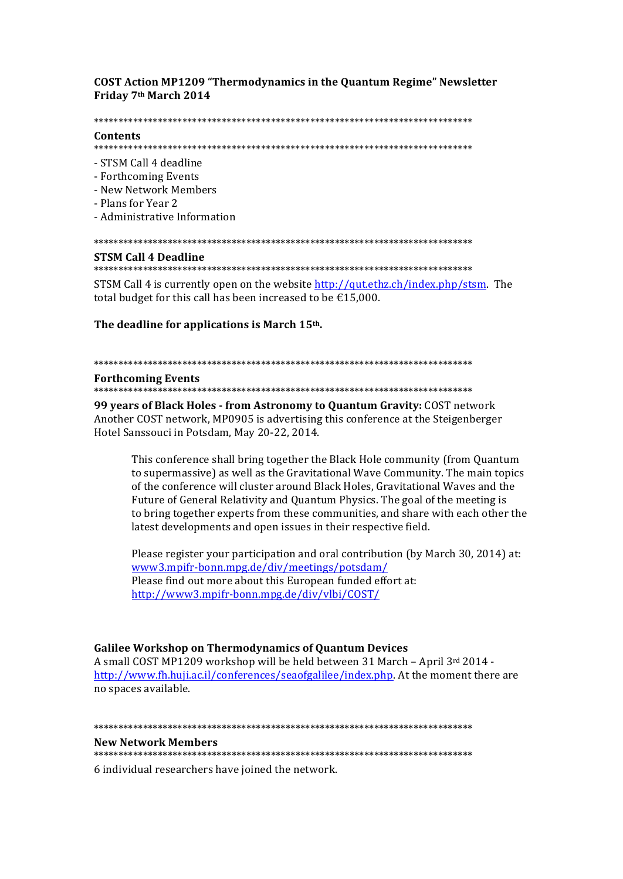# **COST Action MP1209 "Thermodynamics in the Quantum Regime" Newsletter** Friday 7th March 2014

#### 

### Contents

- STSM Call 4 deadline
- Forthcoming Events
- New Network Members
- Plans for Year 2
- Administrative Information

#### 

### **STSM Call 4 Deadline**

STSM Call 4 is currently open on the website http://gut.ethz.ch/index.php/stsm. The total budget for this call has been increased to be  $\text{\textsterling}15,000$ .

## The deadline for applications is March 15th.

#### 

#### **Forthcoming Events**

99 years of Black Holes - from Astronomy to Quantum Gravity: COST network Another COST network, MP0905 is advertising this conference at the Steigenberger Hotel Sanssouci in Potsdam, May 20-22, 2014.

This conference shall bring together the Black Hole community (from Quantum) to supermassive) as well as the Gravitational Wave Community. The main topics of the conference will cluster around Black Holes, Gravitational Waves and the Future of General Relativity and Quantum Physics. The goal of the meeting is to bring together experts from these communities, and share with each other the latest developments and open issues in their respective field.

Please register your participation and oral contribution (by March 30, 2014) at: www3.mpifr-bonn.mpg.de/div/meetings/potsdam/ Please find out more about this European funded effort at: http://www3.mpifr-bonn.mpg.de/div/vlbi/COST/

# **Galilee Workshop on Thermodynamics of Quantum Devices**

A small COST MP1209 workshop will be held between 31 March - April 3rd 2014 http://www.fh.huji.ac.il/conferences/seaofgalilee/index.php. At the moment there are no spaces available.

#### **New Network Members**

6 individual researchers have joined the network.